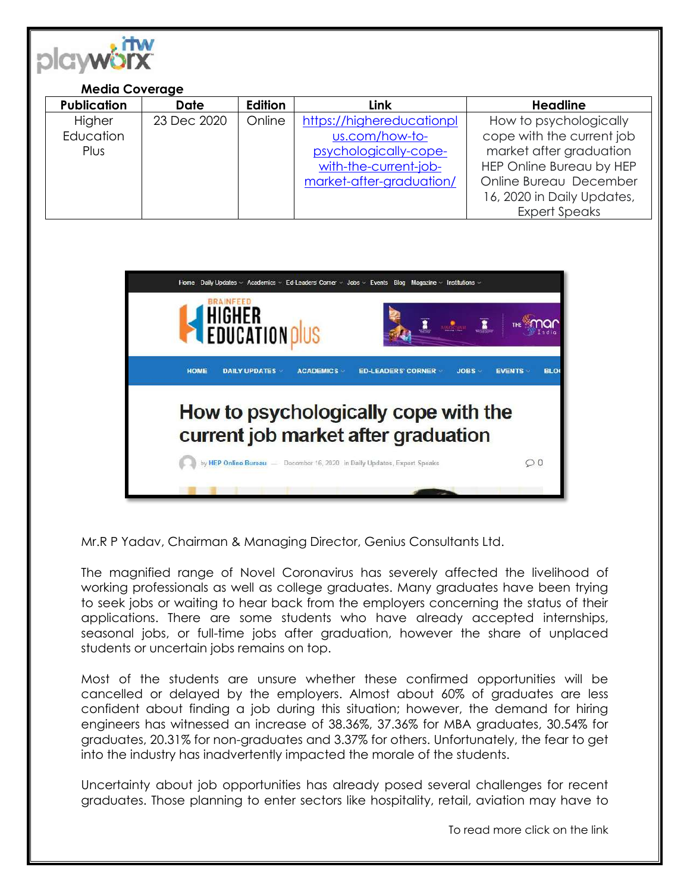

#### **Media Coverage**

| <b>Publication</b> | <b>Date</b> | Edition | <b>Link</b>               | <b>Headline</b>            |
|--------------------|-------------|---------|---------------------------|----------------------------|
| Higher             | 23 Dec 2020 | Online  | https://highereducationpl | How to psychologically     |
| Education          |             |         | us.com/how-to-            | cope with the current job  |
| Plus               |             |         | psychologically-cope-     | market after graduation    |
|                    |             |         | with-the-current-job-     | HEP Online Bureau by HEP   |
|                    |             |         | market-after-graduation/  | Online Bureau December     |
|                    |             |         |                           | 16, 2020 in Daily Updates, |
|                    |             |         |                           | <b>Expert Speaks</b>       |



Mr.R P Yadav, Chairman & Managing Director, Genius Consultants Ltd.

The magnified range of Novel Coronavirus has severely affected the livelihood of working professionals as well as college graduates. Many graduates have been trying to seek jobs or waiting to hear back from the employers concerning the status of their applications. There are some students who have already accepted internships, seasonal jobs, or full-time jobs after graduation, however the share of unplaced students or uncertain jobs remains on top.

Most of the students are unsure whether these confirmed opportunities will be cancelled or delayed by the employers. Almost about 60% of graduates are less confident about finding a job during this situation; however, the demand for hiring engineers has witnessed an increase of 38.36%, 37.36% for MBA graduates, 30.54% for graduates, 20.31% for non-graduates and 3.37% for others. Unfortunately, the fear to get into the industry has inadvertently impacted the morale of the students.

Uncertainty about job opportunities has already posed several challenges for recent graduates. Those planning to enter sectors like hospitality, retail, aviation may have to

To read more click on the link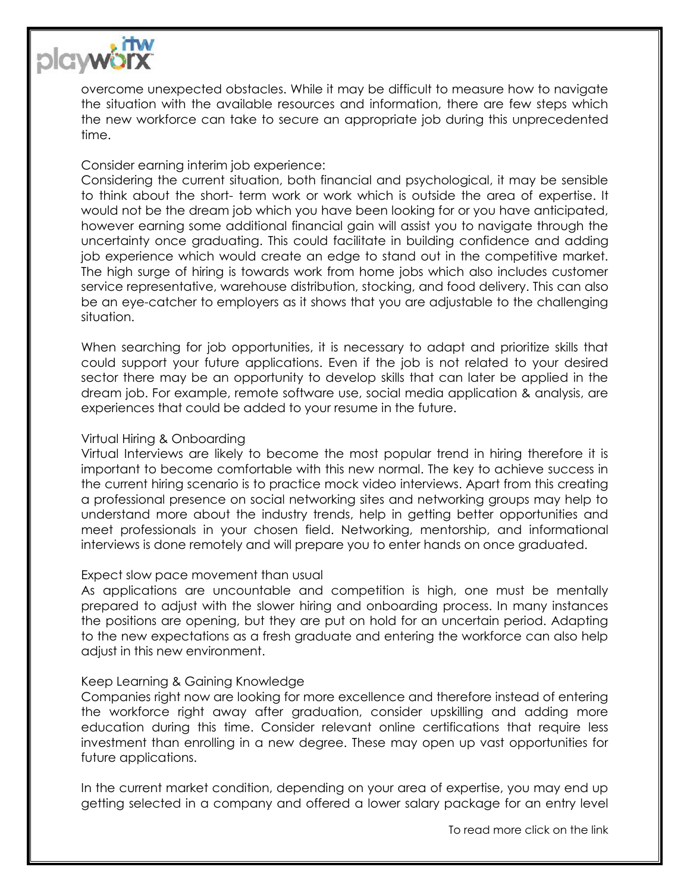

overcome unexpected obstacles. While it may be difficult to measure how to navigate the situation with the available resources and information, there are few steps which the new workforce can take to secure an appropriate job during this unprecedented time.

## Consider earning interim job experience:

Considering the current situation, both financial and psychological, it may be sensible to think about the short- term work or work which is outside the area of expertise. It would not be the dream job which you have been looking for or you have anticipated, however earning some additional financial gain will assist you to navigate through the uncertainty once graduating. This could facilitate in building confidence and adding job experience which would create an edge to stand out in the competitive market. The high surge of hiring is towards work from home jobs which also includes customer service representative, warehouse distribution, stocking, and food delivery. This can also be an eye-catcher to employers as it shows that you are adjustable to the challenging situation.

When searching for job opportunities, it is necessary to adapt and prioritize skills that could support your future applications. Even if the job is not related to your desired sector there may be an opportunity to develop skills that can later be applied in the dream job. For example, remote software use, social media application & analysis, are experiences that could be added to your resume in the future.

### Virtual Hiring & Onboarding

Virtual Interviews are likely to become the most popular trend in hiring therefore it is important to become comfortable with this new normal. The key to achieve success in the current hiring scenario is to practice mock video interviews. Apart from this creating a professional presence on social networking sites and networking groups may help to understand more about the industry trends, help in getting better opportunities and meet professionals in your chosen field. Networking, mentorship, and informational interviews is done remotely and will prepare you to enter hands on once graduated.

### Expect slow pace movement than usual

As applications are uncountable and competition is high, one must be mentally prepared to adjust with the slower hiring and onboarding process. In many instances the positions are opening, but they are put on hold for an uncertain period. Adapting to the new expectations as a fresh graduate and entering the workforce can also help adjust in this new environment.

# Keep Learning & Gaining Knowledge

Companies right now are looking for more excellence and therefore instead of entering the workforce right away after graduation, consider upskilling and adding more education during this time. Consider relevant online certifications that require less investment than enrolling in a new degree. These may open up vast opportunities for future applications.

In the current market condition, depending on your area of expertise, you may end up getting selected in a company and offered a lower salary package for an entry level

To read more click on the link